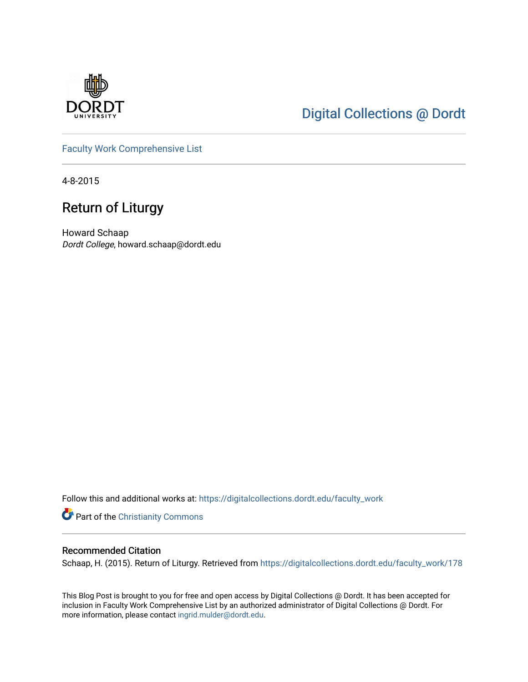

## [Digital Collections @ Dordt](https://digitalcollections.dordt.edu/)

[Faculty Work Comprehensive List](https://digitalcollections.dordt.edu/faculty_work)

4-8-2015

## Return of Liturgy

Howard Schaap Dordt College, howard.schaap@dordt.edu

Follow this and additional works at: [https://digitalcollections.dordt.edu/faculty\\_work](https://digitalcollections.dordt.edu/faculty_work?utm_source=digitalcollections.dordt.edu%2Ffaculty_work%2F178&utm_medium=PDF&utm_campaign=PDFCoverPages) 

**Part of the Christianity Commons** 

#### Recommended Citation

Schaap, H. (2015). Return of Liturgy. Retrieved from [https://digitalcollections.dordt.edu/faculty\\_work/178](https://digitalcollections.dordt.edu/faculty_work/178?utm_source=digitalcollections.dordt.edu%2Ffaculty_work%2F178&utm_medium=PDF&utm_campaign=PDFCoverPages) 

This Blog Post is brought to you for free and open access by Digital Collections @ Dordt. It has been accepted for inclusion in Faculty Work Comprehensive List by an authorized administrator of Digital Collections @ Dordt. For more information, please contact [ingrid.mulder@dordt.edu.](mailto:ingrid.mulder@dordt.edu)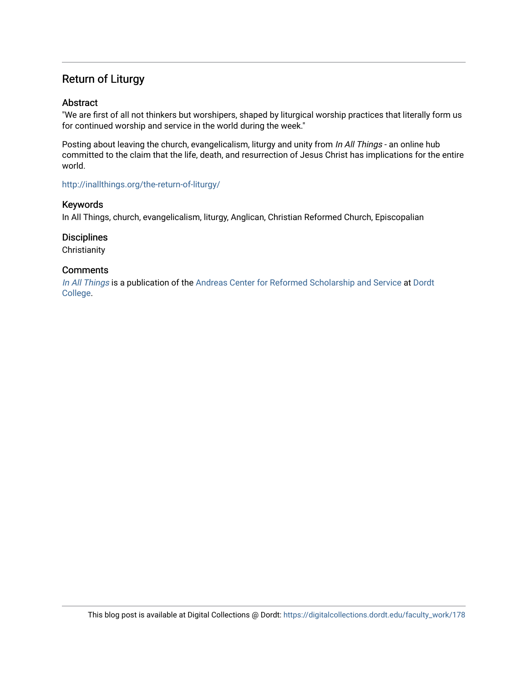### Return of Liturgy

#### Abstract

"We are first of all not thinkers but worshipers, shaped by liturgical worship practices that literally form us for continued worship and service in the world during the week."

Posting about leaving the church, evangelicalism, liturgy and unity from In All Things - an online hub committed to the claim that the life, death, and resurrection of Jesus Christ has implications for the entire world.

<http://inallthings.org/the-return-of-liturgy/>

#### Keywords

In All Things, church, evangelicalism, liturgy, Anglican, Christian Reformed Church, Episcopalian

#### **Disciplines**

**Christianity** 

#### **Comments**

[In All Things](http://inallthings.org/) is a publication of the [Andreas Center for Reformed Scholarship and Service](http://www.dordt.edu/services_support/andreas_center/) at Dordt [College](http://www.dordt.edu/).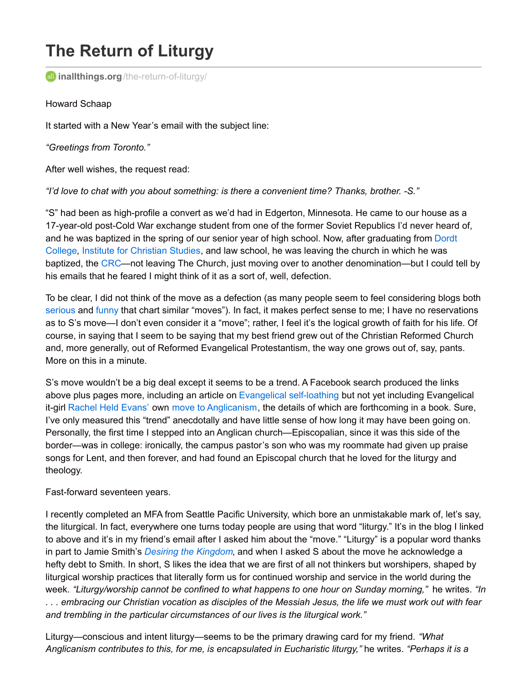# **The Return of Liturgy**

**inallthings.org**[/the-return-of-liturgy/](http://inallthings.org/the-return-of-liturgy/)

Howard Schaap

It started with a New Year's email with the subject line:

*"Greetings from Toronto."*

After well wishes, the request read:

*"I'd love to chat with you about something: is there a convenient time? Thanks, brother. -S."*

"S" had been as high-profile a convert as we'd had in Edgerton, Minnesota. He came to our house as a 17-year-old post-Cold War exchange student from one of the former Soviet Republics I'd never heard of, and he was baptized in the spring of our senior year of high school. Now, after [graduating](http://inallthings.org/the-return-of-liturgy/www.dordt.edu) from Dordt College, Institute for [Christian](http://www.icscanada.edu/) Studies, and law school, he was leaving the church in which he was baptized, the [CRC](http://www.crcna.org/)—not leaving The Church, just moving over to another denomination—but I could tell by his emails that he feared I might think of it as a sort of, well, defection.

To be clear, I did not think of the move as a defection (as many people seem to feel considering blogs both [serious](http://www.amypeterson.net/journal/2015/2/23/woman-why-are-you-weeping-when-your-kid-becomes-episcopalian) and [funny](http://www.patheos.com/blogs/slacktivist/2015/03/18/24-warning-signs-that-your-evangelical-friend-might-be-about-to-depart-for-the-episcopal-church/) that chart similar "moves"). In fact, it makes perfect sense to me; I have no reservations as to S's move—I don't even consider it a "move"; rather, I feel it's the logical growth of faith for his life. Of course, in saying that I seem to be saying that my best friend grew out of the Christian Reformed Church and, more generally, out of Reformed Evangelical Protestantism, the way one grows out of, say, pants. More on this in a minute.

S's move wouldn't be a big deal except it seems to be a trend. A Facebook search produced the links above plus pages more, including an article on Evangelical [self-loathing](http://www.firstthings.com/web-exclusives/2014/10/the-problem-of-self-loathing-at-evangelical-colleges) but not yet including Evangelical it-girl [Rachel](http://rachelheldevans.com/) Held Evans' own move to [Anglicanism](http://www.huffingtonpost.com/2015/03/10/rachel-held-evans-episcopalian-evangelical_n_6842872.html), the details of which are forthcoming in a book. Sure, I've only measured this "trend" anecdotally and have little sense of how long it may have been going on. Personally, the first time I stepped into an Anglican church—Episcopalian, since it was this side of the border—was in college: ironically, the campus pastor's son who was my roommate had given up praise songs for Lent, and then forever, and had found an Episcopal church that he loved for the liturgy and theology.

#### Fast-forward seventeen years.

I recently completed an MFA from Seattle Pacific University, which bore an unmistakable mark of, let's say, the liturgical. In fact, everywhere one turns today people are using that word "liturgy." It's in the blog I linked to above and it's in my friend's email after I asked him about the "move." "Liturgy" is a popular word thanks in part to Jamie Smith's *Desiring the [Kingdom](http://www.worldcat.org/title/desiring-the-kingdom-worship-worldview-and-cultural-formation/oclc/263988293&referer=brief_results)*, and when I asked S about the move he acknowledge a hefty debt to Smith. In short, S likes the idea that we are first of all not thinkers but worshipers, shaped by liturgical worship practices that literally form us for continued worship and service in the world during the week. *"Liturgy/worship cannot be confined to what happens to one hour on Sunday morning,"* he writes. *"In* ... embracing our Christian vocation as disciples of the Messiah Jesus, the life we must work out with fear *and trembling in the particular circumstances of our lives is the liturgical work."*

Liturgy—conscious and intent liturgy—seems to be the primary drawing card for my friend. *"What Anglicanism contributes to this, for me, is encapsulated in Eucharistic liturgy,"* he writes. *"Perhaps it is a*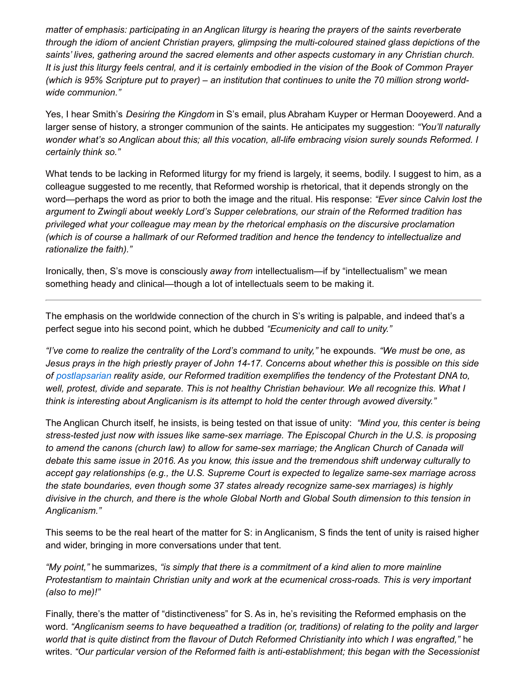*matter of emphasis: participating in an Anglican liturgy is hearing the prayers of the saints reverberate through the idiom of ancient Christian prayers, glimpsing the multi-coloured stained glass depictions of the saints' lives, gathering around the sacred elements and other aspects customary in any Christian church.* It is just this liturgy feels central, and it is certainly embodied in the vision of the Book of Common Prayer (which is 95% Scripture put to prayer) – an institution that continues to unite the 70 million strong world*wide communion."*

Yes, I hear Smith's *Desiring the Kingdom* in S's email, plus Abraham Kuyper or Herman Dooyewerd. And a larger sense of history, a stronger communion of the saints. He anticipates my suggestion: *"You'll naturally wonder what's so Anglican about this; all this vocation, all-life embracing vision surely sounds Reformed. I certainly think so."*

What tends to be lacking in Reformed liturgy for my friend is largely, it seems, bodily. I suggest to him, as a colleague suggested to me recently, that Reformed worship is rhetorical, that it depends strongly on the word—perhaps the word as prior to both the image and the ritual. His response: *"Ever since Calvin lost the argument to Zwingli about weekly Lord's Supper celebrations, our strain of the Reformed tradition has privileged what your colleague may mean by the rhetorical emphasis on the discursive proclamation (which is of course a hallmark of our Reformed tradition and hence the tendency to intellectualize and rationalize the faith)."*

Ironically, then, S's move is consciously *away from* intellectualism—if by "intellectualism" we mean something heady and clinical—though a lot of intellectuals seem to be making it.

The emphasis on the worldwide connection of the church in S's writing is palpable, and indeed that's a perfect segue into his second point, which he dubbed *"Ecumenicity and call to unity."*

*"I've come to realize the centrality of the Lord's command to unity,"* he expounds. *"We must be one, as* Jesus prays in the high priestly prayer of John 14-17. Concerns about whether this is possible on this side *of [postlapsarian](http://inallthings.org/glossary/postlapsarian/) reality aside, our Reformed tradition exemplifies the tendency of the Protestant DNA to,* well, protest, divide and separate. This is not healthy Christian behaviour. We all recognize this. What I *think is interesting about Anglicanism is its attempt to hold the center through avowed diversity."*

The Anglican Church itself, he insists, is being tested on that issue of unity: *"Mind you, this center is being stress-tested just now with issues like same-sex marriage. The Episcopal Church in the U.S. is proposing to amend the canons (church law) to allow for same-sex marriage; the Anglican Church of Canada will* debate this same issue in 2016. As you know, this issue and the tremendous shift underway culturally to *accept gay relationships (e.g., the U.S. Supreme Court is expected to legalize same-sex marriage across the state boundaries, even though some 37 states already recognize same-sex marriages) is highly* divisive in the church, and there is the whole Global North and Global South dimension to this tension in *Anglicanism."*

This seems to be the real heart of the matter for S: in Anglicanism, S finds the tent of unity is raised higher and wider, bringing in more conversations under that tent.

*"My point,"* he summarizes, *"is simply that there is a commitment of a kind alien to more mainline Protestantism to maintain Christian unity and work at the ecumenical cross-roads. This is very important (also to me)!"*

Finally, there's the matter of "distinctiveness" for S. As in, he's revisiting the Reformed emphasis on the word. *"Anglicanism seems to have bequeathed a tradition (or, traditions) of relating to the polity and larger* world that is quite distinct from the flavour of Dutch Reformed Christianity into which I was engrafted," he writes. *"Our particular version of the Reformed faith is anti-establishment; this began with the Secessionist*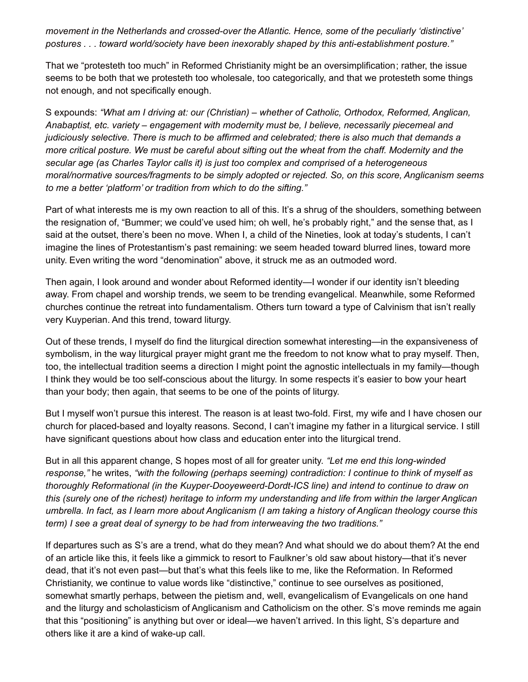*movement in the Netherlands and crossed-over the Atlantic. Hence, some of the peculiarly 'distinctive' postures . . . toward world/society have been inexorably shaped by this anti-establishment posture."*

That we "protesteth too much" in Reformed Christianity might be an oversimplification; rather, the issue seems to be both that we protesteth too wholesale, too categorically, and that we protesteth some things not enough, and not specifically enough.

S expounds: *"What am I driving at: our (Christian) – whether of Catholic, Orthodox, Reformed, Anglican, Anabaptist, etc. variety – engagement with modernity must be, I believe, necessarily piecemeal and judiciously selective. There is much to be affirmed and celebrated; there is also much that demands a* more critical posture. We must be careful about sifting out the wheat from the chaff. Modernity and the *secular age (as Charles Taylor calls it) is just too complex and comprised of a heterogeneous moral/normative sources/fragments to be simply adopted or rejected. So, on this score, Anglicanism seems to me a better 'platform' or tradition from which to do the sifting."*

Part of what interests me is my own reaction to all of this. It's a shrug of the shoulders, something between the resignation of, "Bummer; we could've used him; oh well, he's probably right," and the sense that, as I said at the outset, there's been no move. When I, a child of the Nineties, look at today's students, I can't imagine the lines of Protestantism's past remaining: we seem headed toward blurred lines, toward more unity. Even writing the word "denomination" above, it struck me as an outmoded word.

Then again, I look around and wonder about Reformed identity—I wonder if our identity isn't bleeding away. From chapel and worship trends, we seem to be trending evangelical. Meanwhile, some Reformed churches continue the retreat into fundamentalism. Others turn toward a type of Calvinism that isn't really very Kuyperian. And this trend, toward liturgy.

Out of these trends, I myself do find the liturgical direction somewhat interesting—in the expansiveness of symbolism, in the way liturgical prayer might grant me the freedom to not know what to pray myself. Then, too, the intellectual tradition seems a direction I might point the agnostic intellectuals in my family—though I think they would be too self-conscious about the liturgy. In some respects it's easier to bow your heart than your body; then again, that seems to be one of the points of liturgy.

But I myself won't pursue this interest. The reason is at least two-fold. First, my wife and I have chosen our church for placed-based and loyalty reasons. Second, I can't imagine my father in a liturgical service. I still have significant questions about how class and education enter into the liturgical trend.

But in all this apparent change, S hopes most of all for greater unity. *"Let me end this long-winded response,"* he writes, *"with the following (perhaps seeming) contradiction: I continue to think of myself as thoroughly Reformational (in the Kuyper-Dooyeweerd-Dordt-ICS line) and intend to continue to draw on* this (surely one of the richest) heritage to inform my understanding and life from within the larger Anglican umbrella. In fact, as I learn more about Anglicanism (I am taking a history of Anglican theology course this *term) I see a great deal of synergy to be had from interweaving the two traditions."*

If departures such as S's are a trend, what do they mean? And what should we do about them? At the end of an article like this, it feels like a gimmick to resort to Faulkner's old saw about history—that it's never dead, that it's not even past—but that's what this feels like to me, like the Reformation. In Reformed Christianity, we continue to value words like "distinctive," continue to see ourselves as positioned, somewhat smartly perhaps, between the pietism and, well, evangelicalism of Evangelicals on one hand and the liturgy and scholasticism of Anglicanism and Catholicism on the other. S's move reminds me again that this "positioning" is anything but over or ideal—we haven't arrived. In this light, S's departure and others like it are a kind of wake-up call.